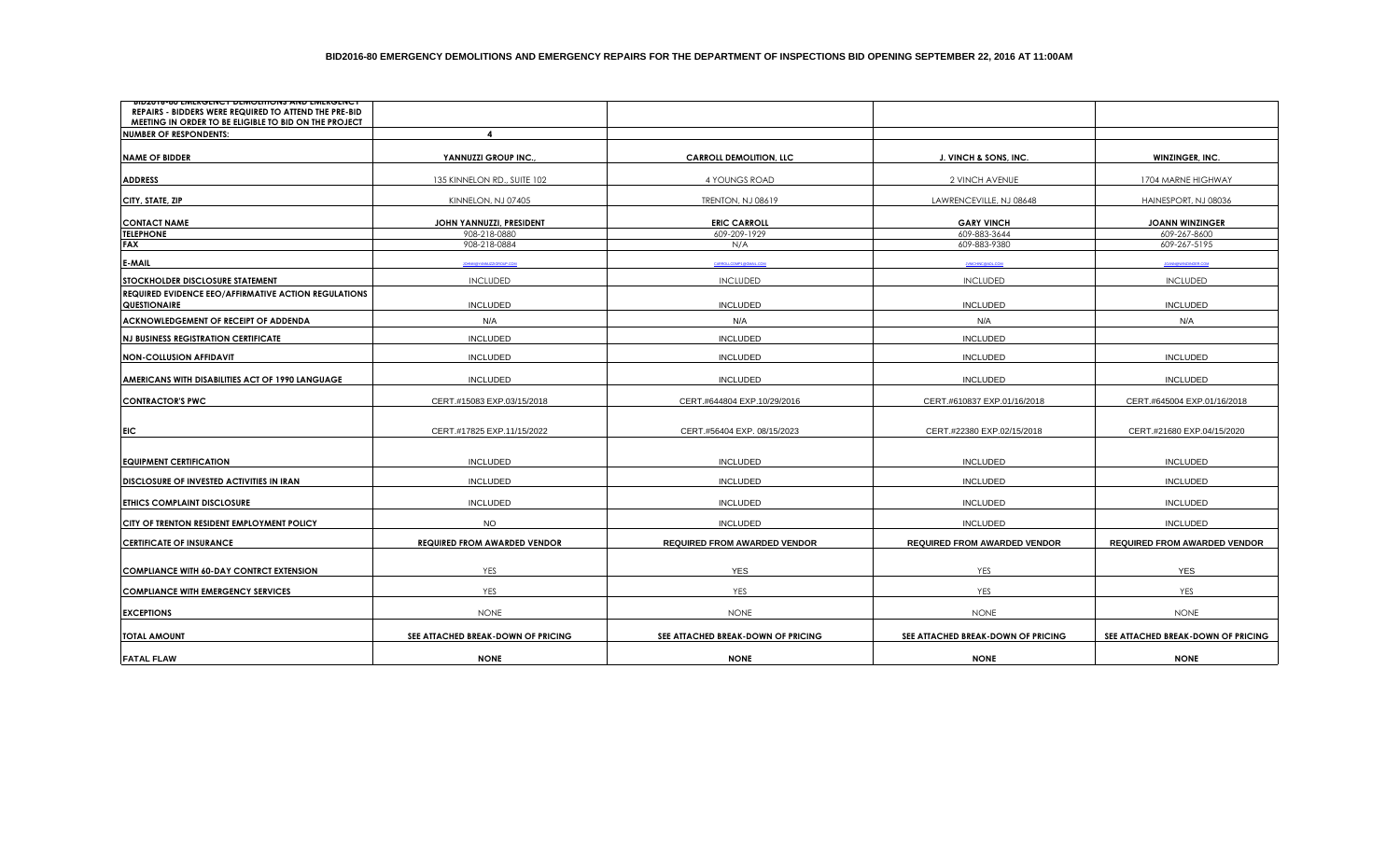| <b>BIDZUT6-60 EMERGENCT DEMOLITIONS AND EMERGENCT</b>                                                          |                                     |                                     |                                     |                                     |
|----------------------------------------------------------------------------------------------------------------|-------------------------------------|-------------------------------------|-------------------------------------|-------------------------------------|
| REPAIRS - BIDDERS WERE REQUIRED TO ATTEND THE PRE-BID<br>MEETING IN ORDER TO BE ELIGIBLE TO BID ON THE PROJECT |                                     |                                     |                                     |                                     |
| <b>NUMBER OF RESPONDENTS:</b>                                                                                  | $\mathbf{A}$                        |                                     |                                     |                                     |
| <b>NAME OF BIDDER</b>                                                                                          | YANNUZZI GROUP INC.                 | <b>CARROLL DEMOLITION, LLC</b>      | J. VINCH & SONS, INC.               | WINZINGER, INC.                     |
| <b>ADDRESS</b>                                                                                                 | 135 KINNELON RD., SUITE 102         | 4 YOUNGS ROAD                       | 2 VINCH AVENUE                      | 1704 MARNE HIGHWAY                  |
| CITY, STATE, ZIP                                                                                               | KINNELON, NJ 07405                  | TRENTON, NJ 08619                   | LAWRENCEVILLE, NJ 08648             | HAINESPORT, NJ 08036                |
| <b>CONTACT NAME</b>                                                                                            | JOHN YANNUZZI, PRESIDENT            | <b>ERIC CARROLL</b>                 | <b>GARY VINCH</b>                   | <b>JOANN WINZINGER</b>              |
| <b>TELEPHONE</b>                                                                                               | 908-218-0880                        | 609-209-1929<br>N/A                 | 609-883-3644<br>609-883-9380        | 609-267-8600                        |
| <b>FAX</b>                                                                                                     | 908-218-0884                        |                                     |                                     | 609-267-5195                        |
| E-MAIL                                                                                                         | JOHNMEYANNUZZIGROUP.COM             | CARROLLCOMP1@GMAIL.COM              | <b>JVNCHNC@AOLCOM</b>               | JOANN@WINZIINGER.COM                |
| <b>STOCKHOLDER DISCLOSURE STATEMENT</b>                                                                        | <b>INCLUDED</b>                     | <b>INCLUDED</b>                     | <b>INCLUDED</b>                     | <b>INCLUDED</b>                     |
| REQUIRED EVIDENCE EEO/AFFIRMATIVE ACTION REGULATIONS<br><b>QUESTIONAIRE</b>                                    | <b>INCLUDED</b>                     | <b>INCLUDED</b>                     | <b>INCLUDED</b>                     | <b>INCLUDED</b>                     |
| ACKNOWLEDGEMENT OF RECEIPT OF ADDENDA                                                                          | N/A                                 | N/A                                 | N/A                                 | N/A                                 |
| <b>NJ BUSINESS REGISTRATION CERTIFICATE</b>                                                                    | <b>INCLUDED</b>                     | <b>INCLUDED</b>                     | <b>INCLUDED</b>                     |                                     |
| <b>NON-COLLUSION AFFIDAVIT</b>                                                                                 | <b>INCLUDED</b>                     | <b>INCLUDED</b>                     | <b>INCLUDED</b>                     | <b>INCLUDED</b>                     |
| AMERICANS WITH DISABILITIES ACT OF 1990 LANGUAGE                                                               | <b>INCLUDED</b>                     | <b>INCLUDED</b>                     | <b>INCLUDED</b>                     | <b>INCLUDED</b>                     |
| <b>CONTRACTOR'S PWC</b>                                                                                        | CERT.#15083 EXP.03/15/2018          | CERT.#644804 EXP.10/29/2016         | CERT.#610837 EXP.01/16/2018         | CERT.#645004 EXP.01/16/2018         |
| EIC.                                                                                                           | CERT.#17825 EXP.11/15/2022          | CERT.#56404 EXP. 08/15/2023         | CERT.#22380 EXP.02/15/2018          | CERT.#21680 EXP.04/15/2020          |
| <b>EQUIPMENT CERTIFICATION</b>                                                                                 | <b>INCLUDED</b>                     | <b>INCLUDED</b>                     | <b>INCLUDED</b>                     | <b>INCLUDED</b>                     |
| DISCLOSURE OF INVESTED ACTIVITIES IN IRAN                                                                      | <b>INCLUDED</b>                     | <b>INCLUDED</b>                     | <b>INCLUDED</b>                     | <b>INCLUDED</b>                     |
| <b>ETHICS COMPLAINT DISCLOSURE</b>                                                                             | <b>INCLUDED</b>                     | <b>INCLUDED</b>                     | <b>INCLUDED</b>                     | <b>INCLUDED</b>                     |
| CITY OF TRENTON RESIDENT EMPLOYMENT POLICY                                                                     | NO.                                 | <b>INCLUDED</b>                     | <b>INCLUDED</b>                     | <b>INCLUDED</b>                     |
| <b>CERTIFICATE OF INSURANCE</b>                                                                                | <b>REQUIRED FROM AWARDED VENDOR</b> | <b>REQUIRED FROM AWARDED VENDOR</b> | <b>REQUIRED FROM AWARDED VENDOR</b> | <b>REQUIRED FROM AWARDED VENDOR</b> |
| <b>COMPLIANCE WITH 60-DAY CONTRCT EXTENSION</b>                                                                | <b>YES</b>                          | <b>YES</b>                          | <b>YES</b>                          | <b>YES</b>                          |
| <b>COMPLIANCE WITH EMERGENCY SERVICES</b>                                                                      | <b>YES</b>                          | <b>YES</b>                          | <b>YFS</b>                          | <b>YES</b>                          |
| <b>EXCEPTIONS</b>                                                                                              | <b>NONE</b>                         | <b>NONE</b>                         | <b>NONE</b>                         | <b>NONE</b>                         |
| <b>TOTAL AMOUNT</b>                                                                                            | SEE ATTACHED BREAK-DOWN OF PRICING  | SEE ATTACHED BREAK-DOWN OF PRICING  | SEE ATTACHED BREAK-DOWN OF PRICING  | SEE ATTACHED BREAK-DOWN OF PRICING  |
| <b>FATAL FLAW</b>                                                                                              | <b>NONE</b>                         | <b>NONE</b>                         | <b>NONE</b>                         | <b>NONE</b>                         |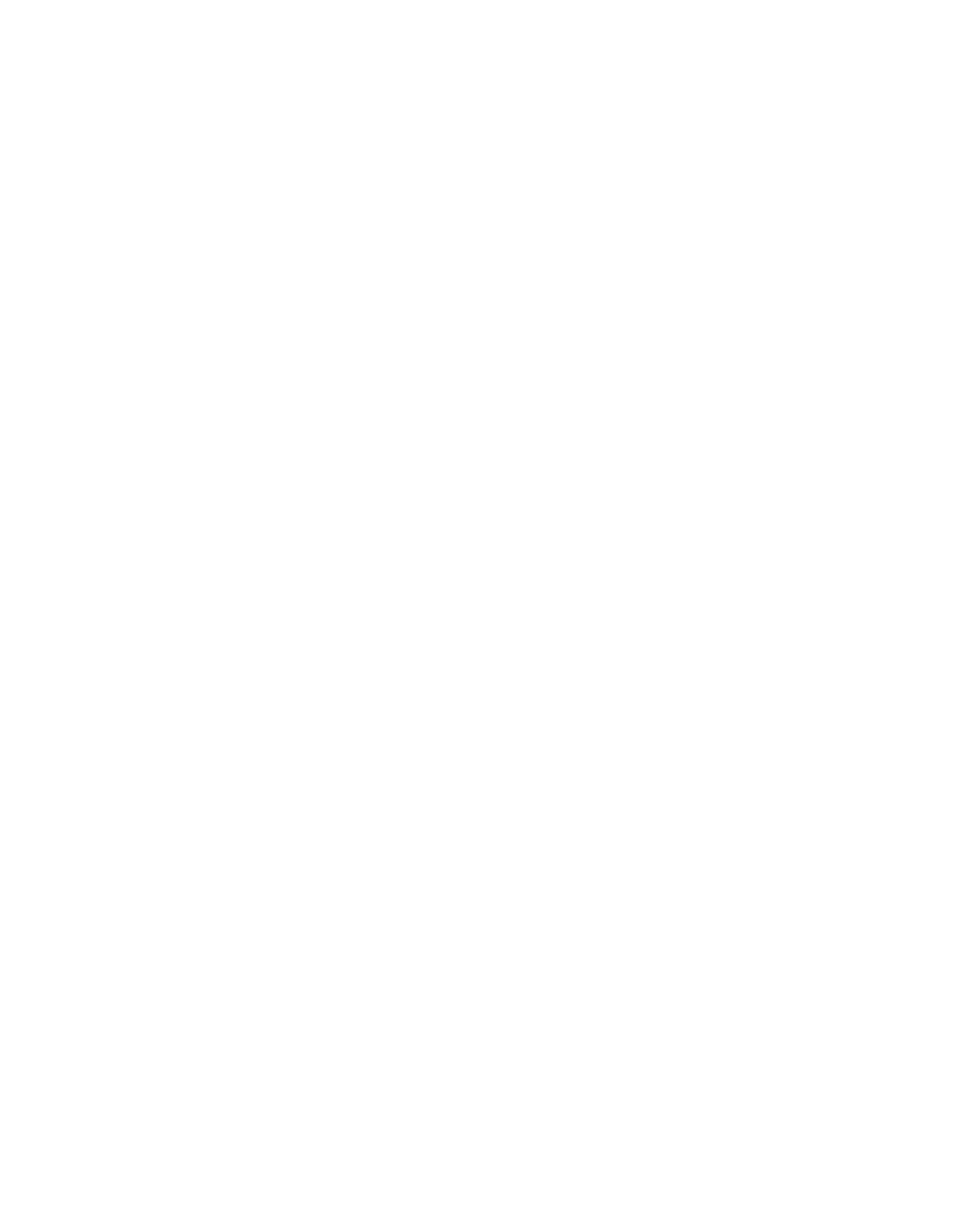BID2016-80 EMERGENCY DEMOLITIONS AND EMERGENCY REPAIRS FOR THE DEPARTMENT OF INSPECTIONS E

| <b>BIDZU10-80 EMERGENCT DEMOLITIONS AND EMERGENCT</b><br>REPAIRS - BIDDERS WERE REQUIRED TO ATTEND THE PRE |                                    |                                    |
|------------------------------------------------------------------------------------------------------------|------------------------------------|------------------------------------|
| MEETING IN ORDER TO BE ELIGIBLE TO BID ON THE PROJE                                                        |                                    |                                    |
| NUMBER OF RESPONDENTS:                                                                                     | $\overline{4}$                     |                                    |
|                                                                                                            |                                    |                                    |
| NAME OF BIDDER                                                                                             | YANNUZZI GROUP INC.                | CARROLL DEMOLITION, LLC            |
| <b>ADDRESS</b>                                                                                             | 135 KINNELON RD., SUITE 102        | 4 YOUNGS ROAD                      |
| CITY, STATE, ZIP                                                                                           | KINNELON, NJ 07405                 | TRENTON, NJ 08619                  |
| <b>CONTACT NAME</b>                                                                                        | JOHN YANNUZZI, PRESIDENT           | <b>ERIC CARROLL</b>                |
| <b>TELEPHONE</b>                                                                                           | 908-218-0880                       | 609-209-1929                       |
| <b>FAX</b>                                                                                                 | 908-218-0884                       | N/A                                |
| E-MAIL                                                                                                     | OHNM@YANNUZZIGROUP.COM             | CARROLLCOMP1@GMAIL.COM             |
| STOCKHOLDER DISCLOSURE STATEMENT                                                                           | <b>INCLUDED</b>                    | <b>INCLUDED</b>                    |
| REQUIRED EVIDENCE EEO/AFFIRMATIVE ACTION REGULATIO<br>QUESTIONAIRE                                         | <b>INCLUDED</b>                    | <b>INCLUDED</b>                    |
| ACKNOWLEDGEMENT OF RECEIPT OF ADDENDA                                                                      | N/A                                | N/A                                |
| NJ BUSINESS REGISTRATION CERTIFICATE                                                                       | <b>INCLUDED</b>                    | <b>INCLUDED</b>                    |
| NON-COLLUSION AFFIDAVIT                                                                                    | <b>INCLUDED</b>                    | <b>INCLUDED</b>                    |
| AMERICANS WITH DISABILITIES ACT OF 1990 LANGUAGE                                                           | <b>INCLUDED</b>                    | <b>INCLUDED</b>                    |
| <b>CONTRACTOR'S PWC</b>                                                                                    | CERT.#15083 EXP.03/15/2018         | CERT.#644804 EXP.10/29/2016        |
|                                                                                                            |                                    |                                    |
| EIC                                                                                                        | CERT.#17825 EXP.11/15/2022         | CERT.#56404 EXP. 08/15/2023        |
|                                                                                                            |                                    |                                    |
| <b>EQUIPMENT CERTIFICATION</b>                                                                             | <b>INCLUDED</b>                    | <b>INCLUDED</b>                    |
| DISCLOSURE OF INVESTED ACTIVITIES IN IRAN                                                                  | <b>INCLUDED</b>                    | <b>INCLUDED</b>                    |
| <b>ETHICS COMPLAINT DISCLOSURE</b>                                                                         | <b>INCLUDED</b>                    | <b>INCLUDED</b>                    |
| CITY OF TRENTON RESIDENT EMPLOYMENT POLICY                                                                 | NO.                                | <b>INCLUDED</b>                    |
| CERTIFICATE OF INSURANCE                                                                                   | REQUIRED FROM AWARDED VENDOR       | REQUIRED FROM AWARDED VENDOR       |
|                                                                                                            |                                    |                                    |
| COMPLIANCE WITH 60-DAY CONTRCT EXTENSION                                                                   | <b>YES</b>                         | <b>YES</b>                         |
| COMPLIANCE WITH EMERGENCY SERVICES                                                                         | <b>YES</b>                         | <b>YES</b>                         |
| <b>EXCEPTIONS</b>                                                                                          | <b>NONE</b>                        | <b>NONE</b>                        |
| <b>TOTAL AMOUNT</b>                                                                                        | SEE ATTACHED BREAK-DOWN OF PRICING | SEE ATTACHED BREAK-DOWN OF PRICING |
| FATAI FI AW                                                                                                | <b>NONE</b>                        | <b>NONE</b>                        |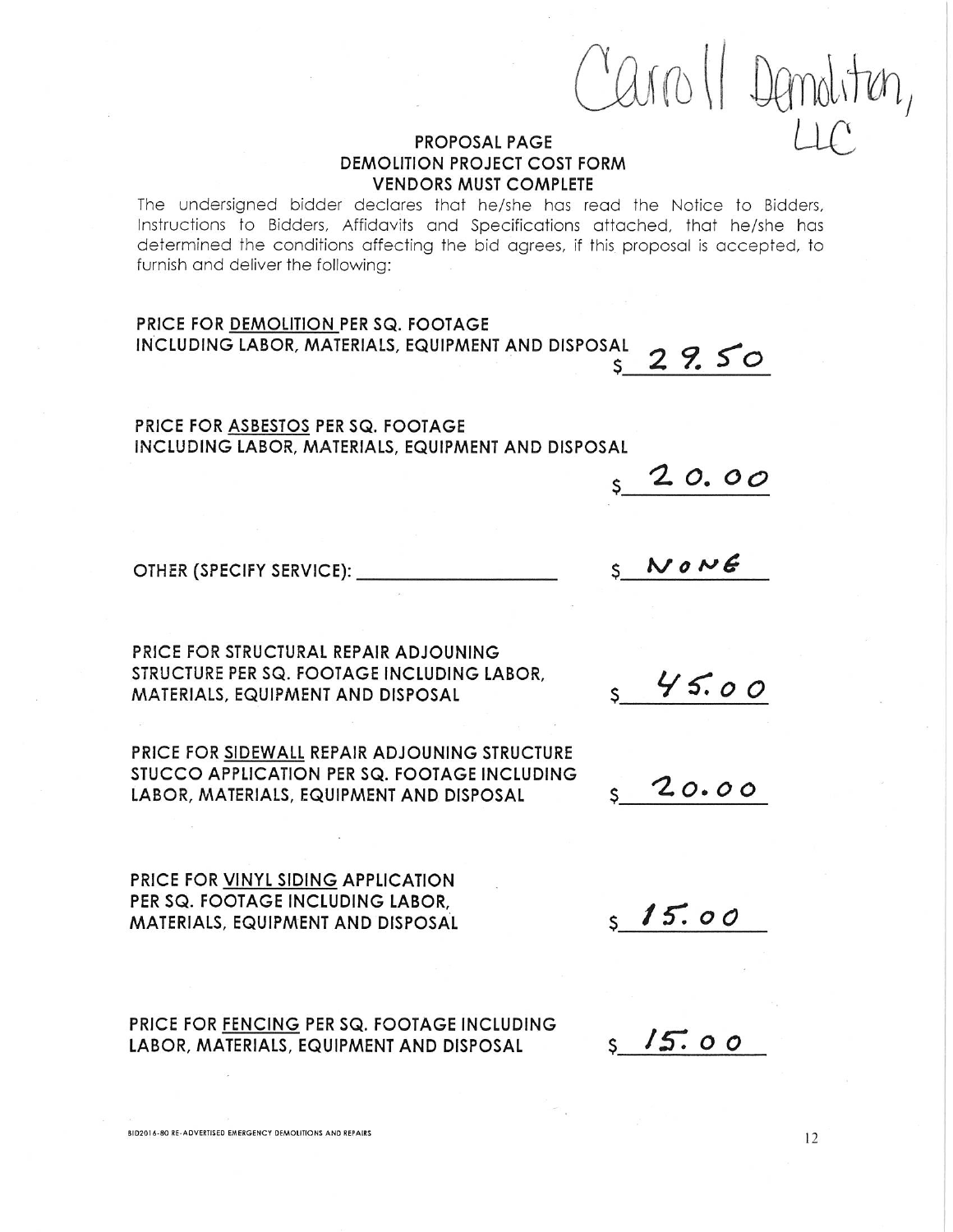Carroll Demolition,

# **PROPOSAL PAGE DEMOLITION PROJECT COST FORM VENDORS MUST COMPLETE**

The undersigned bidder declares that he/she has read the Notice to Bidders, Instructions to Bidders, Affidavits and Specifications attached, that he/she has determined the conditions affecting the bid agrees, if this proposal is accepted, to furnish and deliver the following:

#### PRICE FOR DEMOLITION PER SQ. FOOTAGE INCLUDING LABOR, MATERIALS, EQUIPMENT AND DISPOSAL  $29.50$

PRICE FOR ASBESTOS PER SQ. FOOTAGE INCLUDING LABOR, MATERIALS, EQUIPMENT AND DISPOSAL

OTHER (SPECIFY SERVICE):

PRICE FOR STRUCTURAL REPAIR ADJOUNING STRUCTURE PER SQ. FOOTAGE INCLUDING LABOR. MATERIALS, EQUIPMENT AND DISPOSAL

PRICE FOR SIDEWALL REPAIR ADJOUNING STRUCTURE STUCCO APPLICATION PER SQ. FOOTAGE INCLUDING LABOR, MATERIALS, EQUIPMENT AND DISPOSAL

PRICE FOR VINYL SIDING APPLICATION PER SQ. FOOTAGE INCLUDING LABOR, **MATERIALS, EQUIPMENT AND DISPOSAL** 

PRICE FOR FENCING PER SQ. FOOTAGE INCLUDING LABOR, MATERIALS, EQUIPMENT AND DISPOSAL

 $5.00$ 

 $5.15.00$ 

 $N$  o  $N$   $\epsilon$ 

 $20.00$ 

 $45.00$ 

 $20.00$ 

BID2016-80 RE-ADVERTISED EMERGENCY DEMOLITIONS AND REPAIRS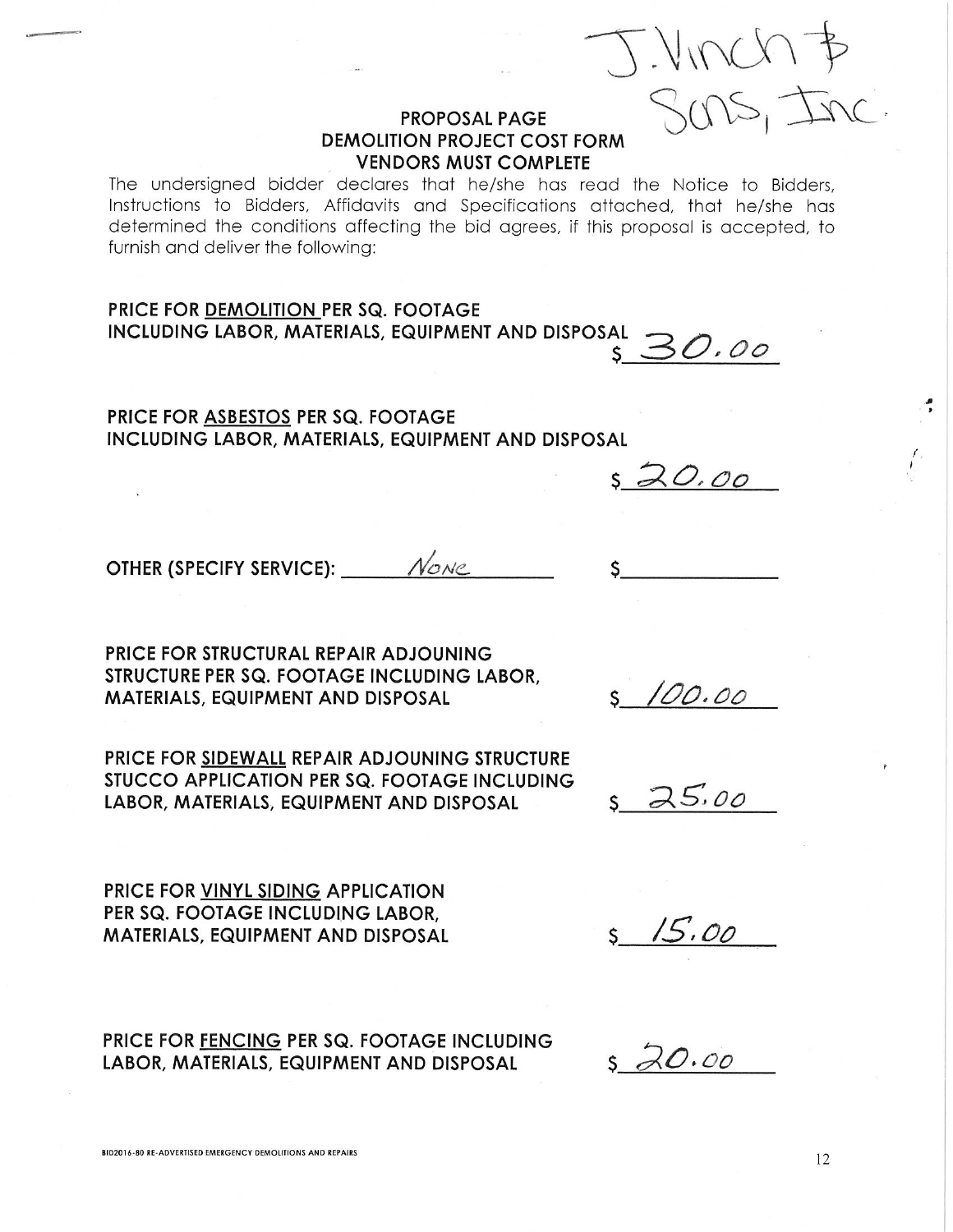$JincA$  $SMS$ 

# **PROPOSAL PAGE DEMOLITION PROJECT COST FORM VENDORS MUST COMPLETE**

The undersigned bidder declares that he/she has read the Notice to Bidders, Instructions to Bidders, Affidavits and Specifications attached, that he/she has determined the conditions affecting the bid agrees, if this proposal is accepted, to furnish and deliver the following:

PRICE FOR DEMOLITION PER SQ. FOOTAGE **INCLUDING LABOR, MATERIALS, EQUIPMENT AND DISPOSAL** 

PRICE FOR ASBESTOS PER SQ. FOOTAGE INCLUDING LABOR, MATERIALS, EQUIPMENT AND DISPOSAL

NONE

 $20.00$ 

 $SO.00$ 

OTHER (SPECIFY SERVICE):

PRICE FOR STRUCTURAL REPAIR ADJOUNING STRUCTURE PER SQ. FOOTAGE INCLUDING LABOR, **MATERIALS, EQUIPMENT AND DISPOSAL** 

PRICE FOR SIDEWALL REPAIR ADJOUNING STRUCTURE STUCCO APPLICATION PER SQ. FOOTAGE INCLUDING LABOR, MATERIALS, EQUIPMENT AND DISPOSAL

PRICE FOR VINYL SIDING APPLICATION PER SQ. FOOTAGE INCLUDING LABOR. **MATERIALS, EQUIPMENT AND DISPOSAL** 

PRICE FOR FENCING PER SQ. FOOTAGE INCLUDING LABOR, MATERIALS, EQUIPMENT AND DISPOSAL

 $S$  100.00

 $25.00$ 

 $5/5.00$ 

 $520.00$ 

**BID2016-80 RE-ADVERTISED EMERGENCY DEMOLITIONS AND REPAIRS**